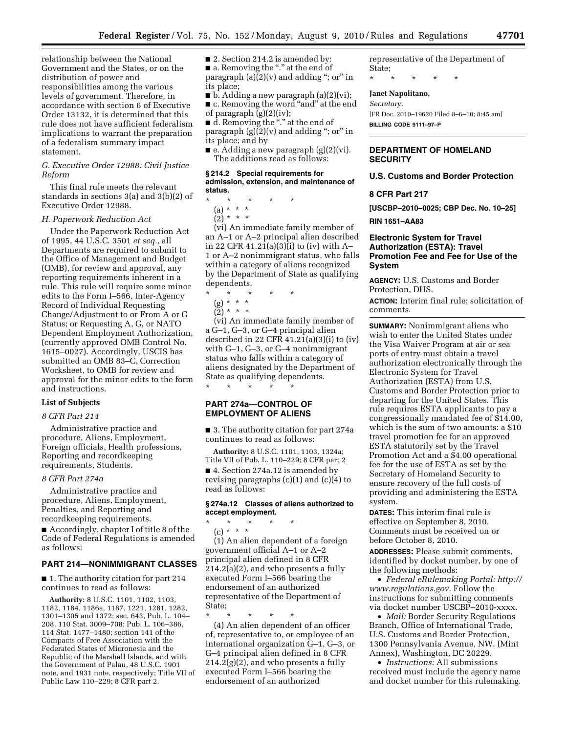relationship between the National Government and the States, or on the distribution of power and responsibilities among the various levels of government. Therefore, in accordance with section 6 of Executive Order 13132, it is determined that this rule does not have sufficient federalism implications to warrant the preparation of a federalism summary impact statement.

## *G. Executive Order 12988: Civil Justice Reform*

This final rule meets the relevant standards in sections 3(a) and 3(b)(2) of Executive Order 12988.

### *H. Paperwork Reduction Act*

Under the Paperwork Reduction Act of 1995, 44 U.S.C. 3501 *et seq.,* all Departments are required to submit to the Office of Management and Budget (OMB), for review and approval, any reporting requirements inherent in a rule. This rule will require some minor edits to the Form I–566, Inter-Agency Record of Individual Requesting Change/Adjustment to or From A or G Status; or Requesting A, G, or NATO Dependent Employment Authorization, (currently approved OMB Control No. 1615–0027). Accordingly, USCIS has submitted an OMB 83–C, Correction Worksheet, to OMB for review and approval for the minor edits to the form and instructions.

## **List of Subjects**

### *8 CFR Part 214*

Administrative practice and procedure, Aliens, Employment, Foreign officials, Health professions, Reporting and recordkeeping requirements, Students.

### *8 CFR Part 274a*

as follows:

Administrative practice and procedure, Aliens, Employment, Penalties, and Reporting and recordkeeping requirements. ■ Accordingly, chapter I of title 8 of the Code of Federal Regulations is amended

### **PART 214—NONIMMIGRANT CLASSES**

■ 1. The authority citation for part 214 continues to read as follows:

**Authority:** 8 U.S.C. 1101, 1102, 1103, 1182, 1184, 1186a, 1187, 1221, 1281, 1282, 1301–1305 and 1372; sec. 643, Pub. L. 104– 208, 110 Stat. 3009–708; Pub. L. 106–386, 114 Stat. 1477–1480; section 141 of the Compacts of Free Association with the Federated States of Micronesia and the Republic of the Marshall Islands, and with the Government of Palau, 48 U.S.C. 1901 note, and 1931 note, respectively; Title VII of Public Law 110–229; 8 CFR part 2.

■ 2. Section 214.2 is amended by: ■ a. Removing the "." at the end of paragraph  $(a)(2)(v)$  and adding "; or" in its place;

 $\blacksquare$  b. Adding a new paragraph  $(a)(2)(vi)$ ; ■ c. Removing the word "and" at the end of paragraph  $(g)(2)(iv)$ ;

■ d. Removing the "." at the end of paragraph  $(g)(2)(v)$  and adding "; or" in its place; and by

■ e. Adding a new paragraph (g)(2)(vi). The additions read as follows:

#### **§ 214.2 Special requirements for admission, extension, and maintenance of status.**

\* \* \* \* \*

(a) \* \* \* (2) \* \* \*

(vi) An immediate family member of an A–1 or A–2 principal alien described in 22 CFR 41.21(a)(3)(i) to (iv) with A– 1 or A–2 nonimmigrant status, who falls within a category of aliens recognized by the Department of State as qualifying dependents.

- \* \* \* \* \* (g) \* \* \*
	- $(2) * * * *$

(vi) An immediate family member of a G–1, G–3, or G–4 principal alien described in 22 CFR  $41.21(a)(3)(i)$  to  $(iv)$ with G–1, G–3, or G–4 nonimmigrant status who falls within a category of aliens designated by the Department of State as qualifying dependents.

## **PART 274a—CONTROL OF EMPLOYMENT OF ALIENS**

\* \* \* \* \*

\* \* \* \* \*

■ 3. The authority citation for part 274a continues to read as follows:

**Authority:** 8 U.S.C. 1101, 1103, 1324a; Title VII of Pub. L. 110–229; 8 CFR part 2

■ 4. Section 274a.12 is amended by revising paragraphs  $(c)(1)$  and  $(c)(4)$  to read as follows:

## **§ 274a.12 Classes of aliens authorized to accept employment.**

(c) \* \* \* (1) An alien dependent of a foreign government official A–1 or A–2 principal alien defined in 8 CFR 214.2(a)(2), and who presents a fully executed Form I–566 bearing the endorsement of an authorized representative of the Department of State;

\* \* \* \* \* (4) An alien dependent of an officer of, representative to, or employee of an international organization G–1, G–3, or G–4 principal alien defined in 8 CFR

214.2(g)(2), and who presents a fully executed Form I–566 bearing the endorsement of an authorized

representative of the Department of State;

\* \* \* \* \*

### **Janet Napolitano,**

*Secretary.*  [FR Doc. 2010–19620 Filed 8–6–10; 8:45 am] **BILLING CODE 9111–97–P** 

## **DEPARTMENT OF HOMELAND SECURITY**

### **U.S. Customs and Border Protection**

### **8 CFR Part 217**

**[USCBP–2010–0025; CBP Dec. No. 10–25]** 

**RIN 1651–AA83** 

## **Electronic System for Travel Authorization (ESTA): Travel Promotion Fee and Fee for Use of the System**

**AGENCY:** U.S. Customs and Border Protection, DHS.

**ACTION:** Interim final rule; solicitation of comments.

**SUMMARY:** Nonimmigrant aliens who wish to enter the United States under the Visa Waiver Program at air or sea ports of entry must obtain a travel authorization electronically through the Electronic System for Travel Authorization (ESTA) from U.S. Customs and Border Protection prior to departing for the United States. This rule requires ESTA applicants to pay a congressionally mandated fee of \$14.00, which is the sum of two amounts: a \$10 travel promotion fee for an approved ESTA statutorily set by the Travel Promotion Act and a \$4.00 operational fee for the use of ESTA as set by the Secretary of Homeland Security to ensure recovery of the full costs of providing and administering the ESTA system.

**DATES:** This interim final rule is effective on September 8, 2010. Comments must be received on or before October 8, 2010.

**ADDRESSES:** Please submit comments, identified by docket number, by one of the following methods:

• *Federal eRulemaking Portal: [http://](http://www.regulations.gov)  [www.regulations.gov.](http://www.regulations.gov)* Follow the instructions for submitting comments via docket number USCBP–2010-xxxx.

• *Mail:* Border Security Regulations Branch, Office of International Trade, U.S. Customs and Border Protection, 1300 Pennsylvania Avenue, NW. (Mint Annex), Washington, DC 20229.

• *Instructions:* All submissions received must include the agency name and docket number for this rulemaking.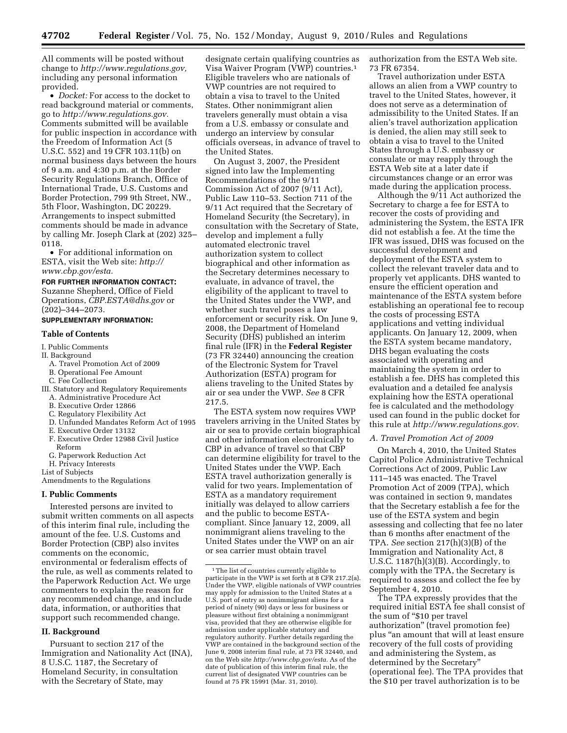All comments will be posted without change to *[http://www.regulations.gov,](http://www.regulations.gov)*  including any personal information provided.

• *Docket:* For access to the docket to read background material or comments, go to *[http://www.regulations.gov.](http://www.regulations.gov)*  Comments submitted will be available for public inspection in accordance with the Freedom of Information Act (5 U.S.C. 552) and 19 CFR 103.11(b) on normal business days between the hours of 9 a.m. and 4:30 p.m. at the Border Security Regulations Branch, Office of International Trade, U.S. Customs and Border Protection, 799 9th Street, NW., 5th Floor, Washington, DC 20229. Arrangements to inspect submitted comments should be made in advance by calling Mr. Joseph Clark at (202) 325– 0118.

• For additional information on ESTA, visit the Web site: *[http://](http://www.cbp.gov/esta)  [www.cbp.gov/esta.](http://www.cbp.gov/esta)* 

### **FOR FURTHER INFORMATION CONTACT:**

Suzanne Shepherd, Office of Field Operations, *[CBP.ESTA@dhs.gov](mailto:CBP.ESTA@dhs.gov)* or (202)–344–2073.

## **SUPPLEMENTARY INFORMATION:**

### **Table of Contents**

### I. Public Comments

- II. Background
- A. Travel Promotion Act of 2009
- B. Operational Fee Amount
- C. Fee Collection
- III. Statutory and Regulatory Requirements
- A. Administrative Procedure Act
- B. Executive Order 12866
- C. Regulatory Flexibility Act
- D. Unfunded Mandates Reform Act of 1995
- E. Executive Order 13132
- F. Executive Order 12988 Civil Justice Reform
- G. Paperwork Reduction Act
- H. Privacy Interests
- List of Subjects

Amendments to the Regulations

#### **I. Public Comments**

Interested persons are invited to submit written comments on all aspects of this interim final rule, including the amount of the fee. U.S. Customs and Border Protection (CBP) also invites comments on the economic, environmental or federalism effects of the rule, as well as comments related to the Paperwork Reduction Act. We urge commenters to explain the reason for any recommended change, and include data, information, or authorities that support such recommended change.

### **II. Background**

Pursuant to section 217 of the Immigration and Nationality Act (INA), 8 U.S.C. 1187, the Secretary of Homeland Security, in consultation with the Secretary of State, may

designate certain qualifying countries as Visa Waiver Program (VWP) countries.1 Eligible travelers who are nationals of VWP countries are not required to obtain a visa to travel to the United States. Other nonimmigrant alien travelers generally must obtain a visa from a U.S. embassy or consulate and undergo an interview by consular officials overseas, in advance of travel to the United States.

On August 3, 2007, the President signed into law the Implementing Recommendations of the 9/11 Commission Act of 2007 (9/11 Act), Public Law 110–53. Section 711 of the 9/11 Act required that the Secretary of Homeland Security (the Secretary), in consultation with the Secretary of State, develop and implement a fully automated electronic travel authorization system to collect biographical and other information as the Secretary determines necessary to evaluate, in advance of travel, the eligibility of the applicant to travel to the United States under the VWP, and whether such travel poses a law enforcement or security risk. On June 9, 2008, the Department of Homeland Security (DHS) published an interim final rule (IFR) in the **Federal Register**  (73 FR 32440) announcing the creation of the Electronic System for Travel Authorization (ESTA) program for aliens traveling to the United States by air or sea under the VWP. *See* 8 CFR 217.5.

The ESTA system now requires VWP travelers arriving in the United States by air or sea to provide certain biographical and other information electronically to CBP in advance of travel so that CBP can determine eligibility for travel to the United States under the VWP. Each ESTA travel authorization generally is valid for two years. Implementation of ESTA as a mandatory requirement initially was delayed to allow carriers and the public to become ESTAcompliant. Since January 12, 2009, all nonimmigrant aliens traveling to the United States under the VWP on an air or sea carrier must obtain travel

authorization from the ESTA Web site. 73 FR 67354.

Travel authorization under ESTA allows an alien from a VWP country to travel to the United States, however, it does not serve as a determination of admissibility to the United States. If an alien's travel authorization application is denied, the alien may still seek to obtain a visa to travel to the United States through a U.S. embassy or consulate or may reapply through the ESTA Web site at a later date if circumstances change or an error was made during the application process.

Although the 9/11 Act authorized the Secretary to charge a fee for ESTA to recover the costs of providing and administering the System, the ESTA IFR did not establish a fee. At the time the IFR was issued, DHS was focused on the successful development and deployment of the ESTA system to collect the relevant traveler data and to properly vet applicants. DHS wanted to ensure the efficient operation and maintenance of the ESTA system before establishing an operational fee to recoup the costs of processing ESTA applications and vetting individual applicants. On January 12, 2009, when the ESTA system became mandatory, DHS began evaluating the costs associated with operating and maintaining the system in order to establish a fee. DHS has completed this evaluation and a detailed fee analysis explaining how the ESTA operational fee is calculated and the methodology used can found in the public docket for this rule at *[http://www.regulations.gov.](http://www.regulations.gov)* 

### *A. Travel Promotion Act of 2009*

On March 4, 2010, the United States Capitol Police Administrative Technical Corrections Act of 2009, Public Law 111–145 was enacted. The Travel Promotion Act of 2009 (TPA), which was contained in section 9, mandates that the Secretary establish a fee for the use of the ESTA system and begin assessing and collecting that fee no later than 6 months after enactment of the TPA. *See* section 217(h)(3)(B) of the Immigration and Nationality Act, 8 U.S.C.  $1187(h)(3)(B)$ . Accordingly, to comply with the TPA, the Secretary is required to assess and collect the fee by September 4, 2010.

The TPA expressly provides that the required initial ESTA fee shall consist of the sum of "\$10 per travel" authorization'' (travel promotion fee) plus ''an amount that will at least ensure recovery of the full costs of providing and administering the System, as determined by the Secretary'' (operational fee). The TPA provides that the \$10 per travel authorization is to be

<sup>&</sup>lt;sup>1</sup>The list of countries currently eligible to participate in the VWP is set forth at 8 CFR 217.2(a). Under the VWP, eligible nationals of VWP countries may apply for admission to the United States at a U.S. port of entry as nonimmigrant aliens for a period of ninety (90) days or less for business or pleasure without first obtaining a nonimmigrant visa, provided that they are otherwise eligible for admission under applicable statutory and regulatory authority. Further details regarding the VWP are contained in the background section of the June 9, 2008 interim final rule, at 73 FR 32440, and on the Web site *[http://www.cbp.gov/esta.](http://www.cbp.gov/esta)* As of the date of publication of this interim final rule, the current list of designated VWP countries can be found at 75 FR 15991 (Mar. 31, 2010).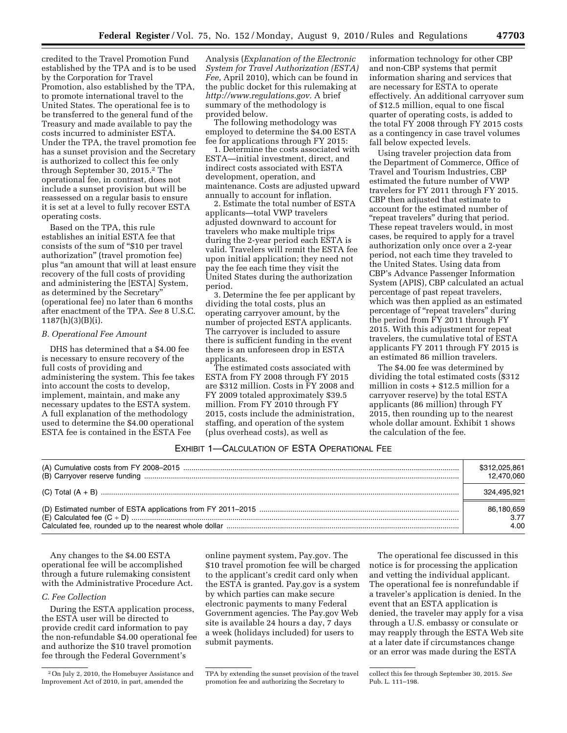credited to the Travel Promotion Fund established by the TPA and is to be used by the Corporation for Travel Promotion, also established by the TPA, to promote international travel to the United States. The operational fee is to be transferred to the general fund of the Treasury and made available to pay the costs incurred to administer ESTA. Under the TPA, the travel promotion fee has a sunset provision and the Secretary is authorized to collect this fee only through September 30, 2015.2 The operational fee, in contrast, does not include a sunset provision but will be reassessed on a regular basis to ensure it is set at a level to fully recover ESTA operating costs.

Based on the TPA, this rule establishes an initial ESTA fee that consists of the sum of "\$10 per travel" authorization'' (travel promotion fee) plus ''an amount that will at least ensure recovery of the full costs of providing and administering the [ESTA] System, as determined by the Secretary'' (operational fee) no later than 6 months after enactment of the TPA. *See* 8 U.S.C. 1187(h)(3)(B)(i).

## *B. Operational Fee Amount*

DHS has determined that a \$4.00 fee is necessary to ensure recovery of the full costs of providing and administering the system. This fee takes into account the costs to develop, implement, maintain, and make any necessary updates to the ESTA system. A full explanation of the methodology used to determine the \$4.00 operational ESTA fee is contained in the ESTA Fee

Analysis (*Explanation of the Electronic System for Travel Authorization (ESTA) Fee,* April 2010), which can be found in the public docket for this rulemaking at *[http://www.regulations.gov.](http://www.regulations.gov)* A brief summary of the methodology is provided below.

The following methodology was employed to determine the \$4.00 ESTA fee for applications through FY 2015:

1. Determine the costs associated with ESTA—initial investment, direct, and indirect costs associated with ESTA development, operation, and maintenance. Costs are adjusted upward annually to account for inflation.

2. Estimate the total number of ESTA applicants—total VWP travelers adjusted downward to account for travelers who make multiple trips during the 2-year period each ESTA is valid. Travelers will remit the ESTA fee upon initial application; they need not pay the fee each time they visit the United States during the authorization period.

3. Determine the fee per applicant by dividing the total costs, plus an operating carryover amount, by the number of projected ESTA applicants. The carryover is included to assure there is sufficient funding in the event there is an unforeseen drop in ESTA applicants.

The estimated costs associated with ESTA from FY 2008 through FY 2015 are \$312 million. Costs in FY 2008 and FY 2009 totaled approximately \$39.5 million. From FY 2010 through FY 2015, costs include the administration, staffing, and operation of the system (plus overhead costs), as well as

information technology for other CBP and non-CBP systems that permit information sharing and services that are necessary for ESTA to operate effectively. An additional carryover sum of \$12.5 million, equal to one fiscal quarter of operating costs, is added to the total FY 2008 through FY 2015 costs as a contingency in case travel volumes fall below expected levels.

Using traveler projection data from the Department of Commerce, Office of Travel and Tourism Industries, CBP estimated the future number of VWP travelers for FY 2011 through FY 2015. CBP then adjusted that estimate to account for the estimated number of "repeat travelers" during that period. These repeat travelers would, in most cases, be required to apply for a travel authorization only once over a 2-year period, not each time they traveled to the United States. Using data from CBP's Advance Passenger Information System (APIS), CBP calculated an actual percentage of past repeat travelers, which was then applied as an estimated percentage of ''repeat travelers'' during the period from FY 2011 through FY 2015. With this adjustment for repeat travelers, the cumulative total of ESTA applicants FY 2011 through FY 2015 is an estimated 86 million travelers.

The \$4.00 fee was determined by dividing the total estimated costs (\$312 million in costs + \$12.5 million for a carryover reserve) by the total ESTA applicants (86 million) through FY 2015, then rounding up to the nearest whole dollar amount. Exhibit 1 shows the calculation of the fee.

## EXHIBIT 1—CALCULATION OF ESTA OPERATIONAL FEE

| \$312,025,861 |
|---------------|
| 12.470.060    |
| 324.495.921   |
| 86,180,659    |
| 3.77          |
| 4.00          |

Any changes to the \$4.00 ESTA operational fee will be accomplished through a future rulemaking consistent with the Administrative Procedure Act.

## *C. Fee Collection*

During the ESTA application process, the ESTA user will be directed to provide credit card information to pay the non-refundable \$4.00 operational fee and authorize the \$10 travel promotion fee through the Federal Government's

online payment system, Pay.gov. The \$10 travel promotion fee will be charged to the applicant's credit card only when the ESTA is granted. Pay.gov is a system by which parties can make secure electronic payments to many Federal Government agencies. The Pay.gov Web site is available 24 hours a day, 7 days a week (holidays included) for users to submit payments.

The operational fee discussed in this notice is for processing the application and vetting the individual applicant. The operational fee is nonrefundable if a traveler's application is denied. In the event that an ESTA application is denied, the traveler may apply for a visa through a U.S. embassy or consulate or may reapply through the ESTA Web site at a later date if circumstances change or an error was made during the ESTA

<sup>2</sup>On July 2, 2010, the Homebuyer Assistance and Improvement Act of 2010, in part, amended the

TPA by extending the sunset provision of the travel promotion fee and authorizing the Secretary to

collect this fee through September 30, 2015. *See*  Pub. L. 111–198.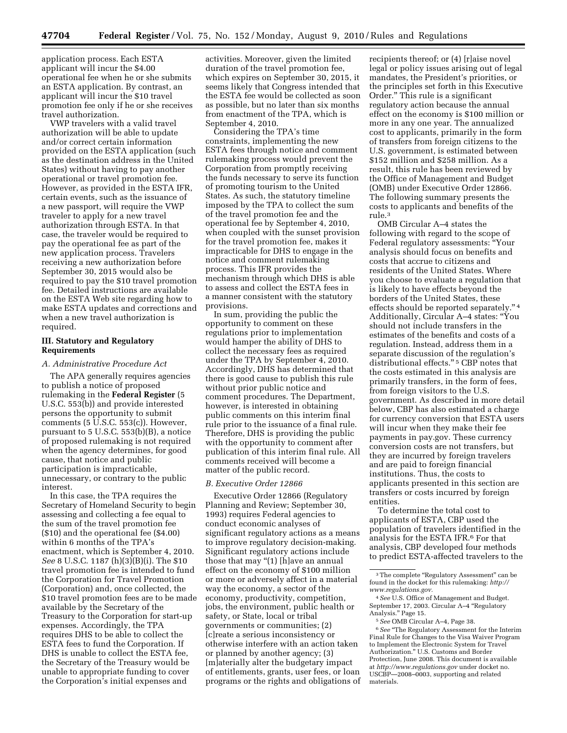application process. Each ESTA applicant will incur the \$4.00 operational fee when he or she submits an ESTA application. By contrast, an applicant will incur the \$10 travel promotion fee only if he or she receives travel authorization.

VWP travelers with a valid travel authorization will be able to update and/or correct certain information provided on the ESTA application (such as the destination address in the United States) without having to pay another operational or travel promotion fee. However, as provided in the ESTA IFR, certain events, such as the issuance of a new passport, will require the VWP traveler to apply for a new travel authorization through ESTA. In that case, the traveler would be required to pay the operational fee as part of the new application process. Travelers receiving a new authorization before September 30, 2015 would also be required to pay the \$10 travel promotion fee. Detailed instructions are available on the ESTA Web site regarding how to make ESTA updates and corrections and when a new travel authorization is required.

### **III. Statutory and Regulatory Requirements**

### *A. Administrative Procedure Act*

The APA generally requires agencies to publish a notice of proposed rulemaking in the **Federal Register** (5 U.S.C. 553(b)) and provide interested persons the opportunity to submit comments (5 U.S.C. 553(c)). However, pursuant to 5 U.S.C. 553(b)(B), a notice of proposed rulemaking is not required when the agency determines, for good cause, that notice and public participation is impracticable, unnecessary, or contrary to the public interest.

In this case, the TPA requires the Secretary of Homeland Security to begin assessing and collecting a fee equal to the sum of the travel promotion fee (\$10) and the operational fee (\$4.00) within 6 months of the TPA's enactment, which is September 4, 2010. *See* 8 U.S.C. 1187 (h)(3)(B)(i). The \$10 travel promotion fee is intended to fund the Corporation for Travel Promotion (Corporation) and, once collected, the \$10 travel promotion fees are to be made available by the Secretary of the Treasury to the Corporation for start-up expenses. Accordingly, the TPA requires DHS to be able to collect the ESTA fees to fund the Corporation. If DHS is unable to collect the ESTA fee, the Secretary of the Treasury would be unable to appropriate funding to cover the Corporation's initial expenses and

activities. Moreover, given the limited duration of the travel promotion fee, which expires on September 30, 2015, it seems likely that Congress intended that the ESTA fee would be collected as soon as possible, but no later than six months from enactment of the TPA, which is September 4, 2010.

Considering the TPA's time constraints, implementing the new ESTA fees through notice and comment rulemaking process would prevent the Corporation from promptly receiving the funds necessary to serve its function of promoting tourism to the United States. As such, the statutory timeline imposed by the TPA to collect the sum of the travel promotion fee and the operational fee by September 4, 2010, when coupled with the sunset provision for the travel promotion fee, makes it impracticable for DHS to engage in the notice and comment rulemaking process. This IFR provides the mechanism through which DHS is able to assess and collect the ESTA fees in a manner consistent with the statutory provisions.

In sum, providing the public the opportunity to comment on these regulations prior to implementation would hamper the ability of DHS to collect the necessary fees as required under the TPA by September 4, 2010. Accordingly, DHS has determined that there is good cause to publish this rule without prior public notice and comment procedures. The Department, however, is interested in obtaining public comments on this interim final rule prior to the issuance of a final rule. Therefore, DHS is providing the public with the opportunity to comment after publication of this interim final rule. All comments received will become a matter of the public record.

### *B. Executive Order 12866*

Executive Order 12866 (Regulatory Planning and Review; September 30, 1993) requires Federal agencies to conduct economic analyses of significant regulatory actions as a means to improve regulatory decision-making. Significant regulatory actions include those that may "(1) [h]ave an annual effect on the economy of \$100 million or more or adversely affect in a material way the economy, a sector of the economy, productivity, competition, jobs, the environment, public health or safety, or State, local or tribal governments or communities; (2) [c]reate a serious inconsistency or otherwise interfere with an action taken or planned by another agency; (3) [m]aterially alter the budgetary impact of entitlements, grants, user fees, or loan programs or the rights and obligations of

recipients thereof; or (4) [r]aise novel legal or policy issues arising out of legal mandates, the President's priorities, or the principles set forth in this Executive Order.'' This rule is a significant regulatory action because the annual effect on the economy is \$100 million or more in any one year. The annualized cost to applicants, primarily in the form of transfers from foreign citizens to the U.S. government, is estimated between \$152 million and \$258 million. As a result, this rule has been reviewed by the Office of Management and Budget (OMB) under Executive Order 12866. The following summary presents the costs to applicants and benefits of the rule.3

OMB Circular A–4 states the following with regard to the scope of Federal regulatory assessments: ''Your analysis should focus on benefits and costs that accrue to citizens and residents of the United States. Where you choose to evaluate a regulation that is likely to have effects beyond the borders of the United States, these effects should be reported separately.'' 4 Additionally, Circular A–4 states: ''You should not include transfers in the estimates of the benefits and costs of a regulation. Instead, address them in a separate discussion of the regulation's distributional effects."<sup>5</sup> CBP notes that the costs estimated in this analysis are primarily transfers, in the form of fees, from foreign visitors to the U.S. government. As described in more detail below, CBP has also estimated a charge for currency conversion that ESTA users will incur when they make their fee payments in pay.gov. These currency conversion costs are not transfers, but they are incurred by foreign travelers and are paid to foreign financial institutions. Thus, the costs to applicants presented in this section are transfers or costs incurred by foreign entities.

To determine the total cost to applicants of ESTA, CBP used the population of travelers identified in the analysis for the ESTA IFR.6 For that analysis, CBP developed four methods to predict ESTA-affected travelers to the

6*See* ''The Regulatory Assessment for the Interim Final Rule for Changes to the Visa Waiver Program to Implement the Electronic System for Travel Authorization.'' U.S. Customs and Border Protection, June 2008. This document is available at *<http://www.regulations.gov>* under docket no. USCBP—2008–0003, supporting and related materials.

 $^{\rm 3}$  The complete "Regulatory Assessment" can be found in the docket for this rulemaking: *[http://](http://www.regulations.gov)  [www.regulations.gov.](http://www.regulations.gov)* 

<sup>4</sup>*See* U.S. Office of Management and Budget. September 17, 2003. Circular A–4 ''Regulatory Analysis.'' Page 15.

<sup>5</sup>*See* OMB Circular A–4, Page 38.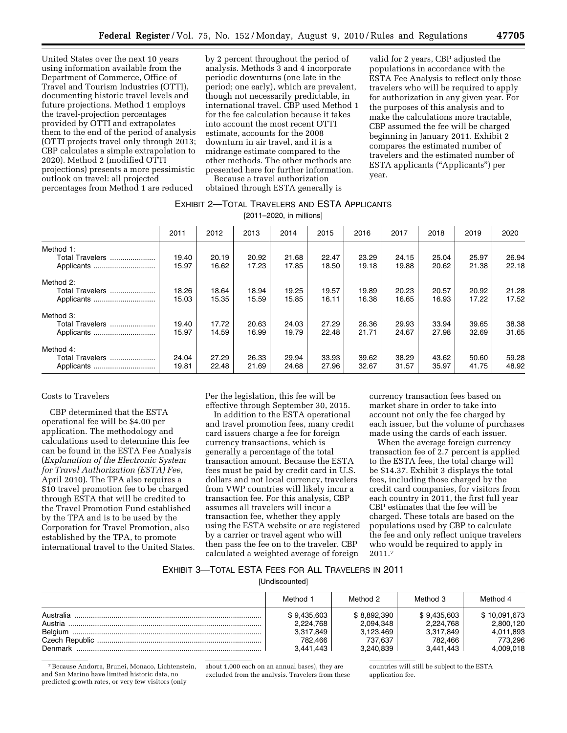United States over the next 10 years using information available from the Department of Commerce, Office of Travel and Tourism Industries (OTTI), documenting historic travel levels and future projections. Method 1 employs the travel-projection percentages provided by OTTI and extrapolates them to the end of the period of analysis (OTTI projects travel only through 2013; CBP calculates a simple extrapolation to 2020). Method 2 (modified OTTI projections) presents a more pessimistic outlook on travel: all projected percentages from Method 1 are reduced

by 2 percent throughout the period of analysis. Methods 3 and 4 incorporate periodic downturns (one late in the period; one early), which are prevalent, though not necessarily predictable, in international travel. CBP used Method 1 for the fee calculation because it takes into account the most recent OTTI estimate, accounts for the 2008 downturn in air travel, and it is a midrange estimate compared to the other methods. The other methods are presented here for further information.

Because a travel authorization

# obtained through ESTA generally is year.

## EXHIBIT 2—TOTAL TRAVELERS AND ESTA APPLICANTS

[2011–2020, in millions]

|                                            | 2011           | 2012           | 2013           | 2014           | 2015           | 2016           | 2017           | 2018           | 2019           | 2020           |
|--------------------------------------------|----------------|----------------|----------------|----------------|----------------|----------------|----------------|----------------|----------------|----------------|
| Method 1:                                  |                |                |                |                |                |                |                |                |                |                |
| Total Travelers<br>Applicants              | 19.40<br>15.97 | 20.19<br>16.62 | 20.92<br>17.23 | 21.68<br>17.85 | 22.47<br>18.50 | 23.29<br>19.18 | 24.15<br>19.88 | 25.04<br>20.62 | 25.97<br>21.38 | 26.94<br>22.18 |
| Method 2:                                  |                |                |                |                |                |                |                |                |                |                |
| Total Travelers<br>Applicants              | 18.26<br>15.03 | 18.64<br>15.35 | 18.94<br>15.59 | 19.25<br>15.85 | 19.57<br>16.11 | 19.89<br>16.38 | 20.23<br>16.65 | 20.57<br>16.93 | 20.92<br>17.22 | 21.28<br>17.52 |
| Method 3:                                  |                |                |                |                |                |                |                |                |                |                |
| Total Travelers<br>Applicants              | 19.40<br>15.97 | 17.72<br>14.59 | 20.63<br>16.99 | 24.03<br>19.79 | 27.29<br>22.48 | 26.36<br>21.71 | 29.93<br>24.67 | 33.94<br>27.98 | 39.65<br>32.69 | 38.38<br>31.65 |
| Method 4:<br>Total Travelers<br>Applicants | 24.04<br>19.81 | 27.29<br>22.48 | 26.33<br>21.69 | 29.94<br>24.68 | 33.93<br>27.96 | 39.62<br>32.67 | 38.29<br>31.57 | 43.62<br>35.97 | 50.60<br>41.75 | 59.28<br>48.92 |

## Costs to Travelers

CBP determined that the ESTA operational fee will be \$4.00 per application. The methodology and calculations used to determine this fee can be found in the ESTA Fee Analysis (*Explanation of the Electronic System for Travel Authorization (ESTA) Fee,*  April 2010). The TPA also requires a \$10 travel promotion fee to be charged through ESTA that will be credited to the Travel Promotion Fund established by the TPA and is to be used by the Corporation for Travel Promotion, also established by the TPA, to promote international travel to the United States. Per the legislation, this fee will be effective through September 30, 2015.

In addition to the ESTA operational and travel promotion fees, many credit card issuers charge a fee for foreign currency transactions, which is generally a percentage of the total transaction amount. Because the ESTA fees must be paid by credit card in U.S. dollars and not local currency, travelers from VWP countries will likely incur a transaction fee. For this analysis, CBP assumes all travelers will incur a transaction fee, whether they apply using the ESTA website or are registered by a carrier or travel agent who will then pass the fee on to the traveler. CBP calculated a weighted average of foreign

currency transaction fees based on market share in order to take into account not only the fee charged by each issuer, but the volume of purchases made using the cards of each issuer.

When the average foreign currency transaction fee of 2.7 percent is applied to the ESTA fees, the total charge will be \$14.37. Exhibit 3 displays the total fees, including those charged by the credit card companies, for visitors from each country in 2011, the first full year CBP estimates that the fee will be charged. These totals are based on the populations used by CBP to calculate the fee and only reflect unique travelers who would be required to apply in 2011.7

## EXHIBIT 3—TOTAL ESTA FEES FOR ALL TRAVELERS IN 2011

[Undiscounted]

|           | Method 1    | Method 2    | Method 3    | Method 4     |
|-----------|-------------|-------------|-------------|--------------|
| Australia | \$9.435.603 | \$8.892.390 | \$9.435.603 | \$10.091.673 |
| Austria   | 2.224.768   | 2,094,348   | 2.224.768   | 2.800.120    |
| Belgium   | 3.317.849   | 3.123.469   | 3,317,849   | 4,011,893    |
|           | 782.466     | 737.637     | 782.466     | 773.296      |
| Denmark   | 3.441.443   | 3.240.839   | 3.441.443   | 4.009.018    |

7Because Andorra, Brunei, Monaco, Lichtenstein, and San Marino have limited historic data, no predicted growth rates, or very few visitors (only

about 1,000 each on an annual bases), they are excluded from the analysis. Travelers from these countries will still be subject to the ESTA application fee.

valid for 2 years, CBP adjusted the populations in accordance with the ESTA Fee Analysis to reflect only those travelers who will be required to apply for authorization in any given year. For the purposes of this analysis and to make the calculations more tractable, CBP assumed the fee will be charged beginning in January 2011. Exhibit 2 compares the estimated number of travelers and the estimated number of ESTA applicants (''Applicants'') per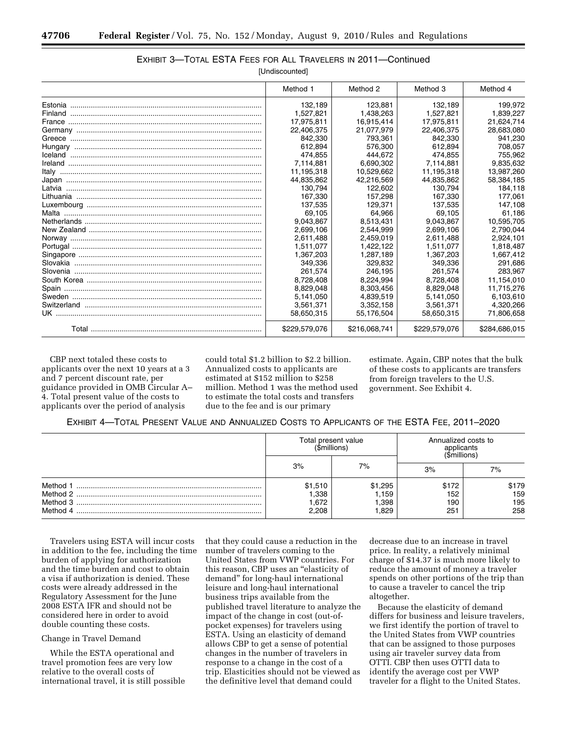# EXHIBIT 3—TOTAL ESTA FEES FOR ALL TRAVELERS IN 2011—Continued

[Undiscounted]

|       | Method 1      | Method 2      | Method 3      | Method 4      |
|-------|---------------|---------------|---------------|---------------|
|       | 132.189       | 123.881       | 132.189       | 199.972       |
|       | 1,527,821     | 1.438.263     | 1.527.821     | 1,839,227     |
|       | 17,975,811    | 16,915,414    | 17.975.811    | 21,624,714    |
|       | 22,406,375    | 21.077.979    | 22,406,375    | 28,683,080    |
|       | 842,330       | 793,361       | 842,330       | 941,230       |
|       | 612.894       | 576.300       | 612.894       | 708.057       |
|       | 474.855       | 444.672       | 474.855       | 755.962       |
|       | 7,114,881     | 6,690,302     | 7,114,881     | 9,835,632     |
|       | 11,195,318    | 10,529,662    | 11,195,318    | 13,987,260    |
|       | 44,835,862    | 42,216,569    | 44,835,862    | 58,384,185    |
|       | 130.794       | 122,602       | 130.794       | 184.118       |
|       | 167,330       | 157.298       | 167.330       | 177,061       |
|       | 137.535       | 129.371       | 137.535       | 147.108       |
| Malta | 69.105        | 64.966        | 69.105        | 61,186        |
|       | 9.043.867     | 8,513,431     | 9.043.867     | 10,595,705    |
|       | 2,699,106     | 2,544,999     | 2,699,106     | 2,790,044     |
|       | 2,611,488     | 2,459,019     | 2,611,488     | 2,924,101     |
|       | 1,511,077     | 1,422,122     | 1.511.077     | 1,818,487     |
|       | 1,367,203     | 1,287,189     | 1,367,203     | 1,667,412     |
|       | 349.336       | 329.832       | 349.336       | 291.686       |
|       | 261.574       | 246.195       | 261.574       | 283,967       |
|       | 8,728,408     | 8,224,994     | 8,728,408     | 11,154,010    |
|       | 8,829,048     | 8,303,456     | 8,829,048     | 11,715,276    |
|       | 5,141,050     | 4.839.519     | 5.141.050     | 6,103,610     |
|       | 3,561,371     | 3,352,158     | 3,561,371     | 4,320,266     |
|       | 58,650,315    | 55,176,504    | 58,650,315    | 71,806,658    |
|       | \$229,579,076 | \$216,068,741 | \$229,579,076 | \$284,686,015 |

CBP next totaled these costs to applicants over the next 10 years at a 3 and 7 percent discount rate, per guidance provided in OMB Circular A– 4. Total present value of the costs to applicants over the period of analysis

could total \$1.2 billion to \$2.2 billion. Annualized costs to applicants are estimated at \$152 million to \$258 million. Method 1 was the method used to estimate the total costs and transfers due to the fee and is our primary

estimate. Again, CBP notes that the bulk of these costs to applicants are transfers from foreign travelers to the U.S. government. See Exhibit 4.

## EXHIBIT 4—TOTAL PRESENT VALUE AND ANNUALIZED COSTS TO APPLICANTS OF THE ESTA FEE, 2011–2020

|                                               | Total present value<br>(\$millions) |                                   | Annualized costs to<br>applicants<br>'\$millions' |                            |  |
|-----------------------------------------------|-------------------------------------|-----------------------------------|---------------------------------------------------|----------------------------|--|
|                                               | 3%                                  | 7%                                | 3%                                                | 7%                         |  |
| Method 1<br>Method 2.<br>Method 3<br>Method 4 | \$1,510<br>1,338<br>672. ا<br>2.208 | \$1,295<br>1,159<br>1,398<br>.829 | \$172<br>152<br>190<br>251                        | \$179<br>159<br>195<br>258 |  |

Travelers using ESTA will incur costs in addition to the fee, including the time burden of applying for authorization and the time burden and cost to obtain a visa if authorization is denied. These costs were already addressed in the Regulatory Assessment for the June 2008 ESTA IFR and should not be considered here in order to avoid double counting these costs.

## Change in Travel Demand

While the ESTA operational and travel promotion fees are very low relative to the overall costs of international travel, it is still possible

that they could cause a reduction in the number of travelers coming to the United States from VWP countries. For this reason, CBP uses an ''elasticity of demand'' for long-haul international leisure and long-haul international business trips available from the published travel literature to analyze the impact of the change in cost (out-ofpocket expenses) for travelers using ESTA. Using an elasticity of demand allows CBP to get a sense of potential changes in the number of travelers in response to a change in the cost of a trip. Elasticities should not be viewed as the definitive level that demand could

decrease due to an increase in travel price. In reality, a relatively minimal charge of \$14.37 is much more likely to reduce the amount of money a traveler spends on other portions of the trip than to cause a traveler to cancel the trip altogether.

Because the elasticity of demand differs for business and leisure travelers, we first identify the portion of travel to the United States from VWP countries that can be assigned to those purposes using air traveler survey data from OTTI. CBP then uses OTTI data to identify the average cost per VWP traveler for a flight to the United States.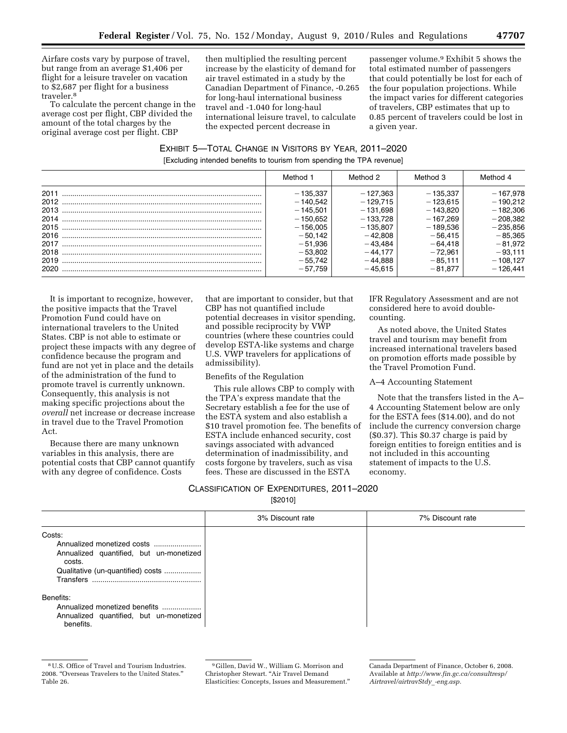Airfare costs vary by purpose of travel, but range from an average \$1,406 per flight for a leisure traveler on vacation to \$2,687 per flight for a business traveler.8

To calculate the percent change in the average cost per flight, CBP divided the amount of the total charges by the original average cost per flight. CBP

then multiplied the resulting percent increase by the elasticity of demand for air travel estimated in a study by the Canadian Department of Finance, -0.265 for long-haul international business travel and -1.040 for long-haul international leisure travel, to calculate the expected percent decrease in

passenger volume.9 Exhibit 5 shows the total estimated number of passengers that could potentially be lost for each of the four population projections. While the impact varies for different categories of travelers, CBP estimates that up to 0.85 percent of travelers could be lost in a given year.

EXHIBIT 5—TOTAL CHANGE IN VISITORS BY YEAR, 2011–2020 [Excluding intended benefits to tourism from spending the TPA revenue]

|      | Method 1   | Method 2   | Method 3   | Method 4   |
|------|------------|------------|------------|------------|
| 2011 | - 135.337  | - 127.363  | $-135.337$ | $-167,978$ |
| 2012 | $-140.542$ | $-129.715$ | $-123.615$ | $-190.212$ |
| 2013 | $-145.501$ | $-131.698$ | $-143.820$ | $-182.306$ |
| 2014 | $-150.652$ | $-133.728$ | $-167.269$ | $-208,382$ |
| 2015 | $-156.005$ | $-135.807$ | $-189.536$ | $-235,856$ |
| 2016 | $-50.142$  | $-42.808$  | $-56.415$  | $-85,365$  |
| 2017 | $-51.936$  | - 43.484   | $-64.418$  | $-81.972$  |
| 2018 | $-53.802$  | $-44.177$  | $-72.961$  | $-93.111$  |
| 2019 | $-55.742$  | $-44.888$  | $-85.111$  | $-108.127$ |
| 2020 | $-57.759$  | - 45.615   | $-81.877$  | - 126.441  |

It is important to recognize, however, the positive impacts that the Travel Promotion Fund could have on international travelers to the United States. CBP is not able to estimate or project these impacts with any degree of confidence because the program and fund are not yet in place and the details of the administration of the fund to promote travel is currently unknown. Consequently, this analysis is not making specific projections about the *overall* net increase or decrease increase in travel due to the Travel Promotion Act.

Because there are many unknown variables in this analysis, there are potential costs that CBP cannot quantify with any degree of confidence. Costs

that are important to consider, but that CBP has not quantified include potential decreases in visitor spending, and possible reciprocity by VWP countries (where these countries could develop ESTA-like systems and charge U.S. VWP travelers for applications of admissibility).

Benefits of the Regulation

This rule allows CBP to comply with the TPA's express mandate that the Secretary establish a fee for the use of the ESTA system and also establish a \$10 travel promotion fee. The benefits of ESTA include enhanced security, cost savings associated with advanced determination of inadmissibility, and costs forgone by travelers, such as visa fees. These are discussed in the ESTA

IFR Regulatory Assessment and are not considered here to avoid doublecounting.

As noted above, the United States travel and tourism may benefit from increased international travelers based on promotion efforts made possible by the Travel Promotion Fund.

## A–4 Accounting Statement

Note that the transfers listed in the A– 4 Accounting Statement below are only for the ESTA fees (\$14.00), and do not include the currency conversion charge (\$0.37). This \$0.37 charge is paid by foreign entities to foreign entities and is not included in this accounting statement of impacts to the U.S. economy.

| CLASSIFICATION OF EXPENDITURES, 2011-2020 |                |  |
|-------------------------------------------|----------------|--|
|                                           | <b>EDOO101</b> |  |

[\$2010]

|                                                                                                                                             | 3% Discount rate | 7% Discount rate |
|---------------------------------------------------------------------------------------------------------------------------------------------|------------------|------------------|
| Costs:<br>Annualized monetized costs<br>Annualized quantified, but un-monetized<br>costs.<br>Qualitative (un-quantified) costs<br>Transfers |                  |                  |
| Benefits:<br>Annualized monetized benefits<br>Annualized quantified, but un-monetized<br>benefits.                                          |                  |                  |

<sup>8</sup>U.S. Office of Travel and Tourism Industries. 2008. ''Overseas Travelers to the United States.'' Table 26.

<sup>9</sup> Gillen, David W., William G. Morrison and Christopher Stewart. ''Air Travel Demand Elasticities: Concepts, Issues and Measurement.''

Canada Department of Finance, October 6, 2008. Available at *[http://www.fin.gc.ca/consultresp/](http://www.fin.gc.ca/consultresp/Airtravel/airtravStdy_-eng.asp)  [Airtravel/airtravStdy](http://www.fin.gc.ca/consultresp/Airtravel/airtravStdy_-eng.asp)*\_*-eng.asp.*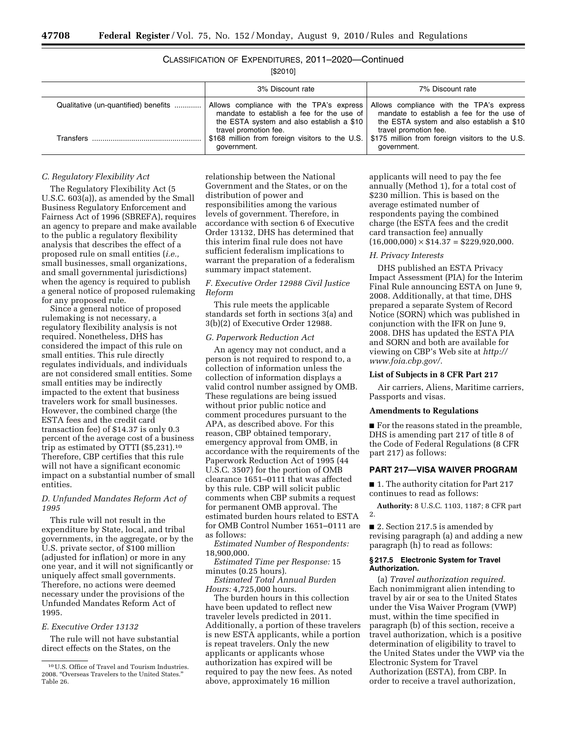# CLASSIFICATION OF EXPENDITURES, 2011–2020—Continued

[\$2010]

|                                      | 3% Discount rate                                                                                                                   | 7% Discount rate                                                                                                                   |
|--------------------------------------|------------------------------------------------------------------------------------------------------------------------------------|------------------------------------------------------------------------------------------------------------------------------------|
| Qualitative (un-quantified) benefits | Allows compliance with the TPA's express<br>mandate to establish a fee for the use of<br>the ESTA system and also establish a \$10 | Allows compliance with the TPA's express<br>mandate to establish a fee for the use of<br>the ESTA system and also establish a \$10 |
| Transfers                            | travel promotion fee.<br>\$168 million from foreign visitors to the U.S.<br>government.                                            | travel promotion fee.<br>\$175 million from foreign visitors to the U.S.<br>government.                                            |

## *C. Regulatory Flexibility Act*

The Regulatory Flexibility Act (5 U.S.C. 603(a)), as amended by the Small Business Regulatory Enforcement and Fairness Act of 1996 (SBREFA), requires an agency to prepare and make available to the public a regulatory flexibility analysis that describes the effect of a proposed rule on small entities (*i.e.,*  small businesses, small organizations, and small governmental jurisdictions) when the agency is required to publish a general notice of proposed rulemaking for any proposed rule.

Since a general notice of proposed rulemaking is not necessary, a regulatory flexibility analysis is not required. Nonetheless, DHS has considered the impact of this rule on small entities. This rule directly regulates individuals, and individuals are not considered small entities. Some small entities may be indirectly impacted to the extent that business travelers work for small businesses. However, the combined charge (the ESTA fees and the credit card transaction fee) of \$14.37 is only 0.3 percent of the average cost of a business trip as estimated by OTTI (\$5,231).10 Therefore, CBP certifies that this rule will not have a significant economic impact on a substantial number of small entities.

## *D. Unfunded Mandates Reform Act of 1995*

This rule will not result in the expenditure by State, local, and tribal governments, in the aggregate, or by the U.S. private sector, of \$100 million (adjusted for inflation) or more in any one year, and it will not significantly or uniquely affect small governments. Therefore, no actions were deemed necessary under the provisions of the Unfunded Mandates Reform Act of 1995.

## *E. Executive Order 13132*

The rule will not have substantial direct effects on the States, on the

relationship between the National Government and the States, or on the distribution of power and responsibilities among the various levels of government. Therefore, in accordance with section 6 of Executive Order 13132, DHS has determined that this interim final rule does not have sufficient federalism implications to warrant the preparation of a federalism summary impact statement.

## *F. Executive Order 12988 Civil Justice Reform*

This rule meets the applicable standards set forth in sections 3(a) and 3(b)(2) of Executive Order 12988.

## *G. Paperwork Reduction Act*

An agency may not conduct, and a person is not required to respond to, a collection of information unless the collection of information displays a valid control number assigned by OMB. These regulations are being issued without prior public notice and comment procedures pursuant to the APA, as described above. For this reason, CBP obtained temporary, emergency approval from OMB, in accordance with the requirements of the Paperwork Reduction Act of 1995 (44 U.S.C. 3507) for the portion of OMB clearance 1651–0111 that was affected by this rule. CBP will solicit public comments when CBP submits a request for permanent OMB approval. The estimated burden hours related to ESTA for OMB Control Number 1651–0111 are as follows:

*Estimated Number of Respondents:*  18,900,000.

*Estimated Time per Response:* 15 minutes (0.25 hours).

*Estimated Total Annual Burden Hours:* 4,725,000 hours.

The burden hours in this collection have been updated to reflect new traveler levels predicted in 2011. Additionally, a portion of these travelers is new ESTA applicants, while a portion is repeat travelers. Only the new applicants or applicants whose authorization has expired will be required to pay the new fees. As noted above, approximately 16 million

applicants will need to pay the fee annually (Method 1), for a total cost of \$230 million. This is based on the average estimated number of respondents paying the combined charge (the ESTA fees and the credit card transaction fee) annually  $(16,000,000) \times $14.37 = $229,920,000.$ 

### *H. Privacy Interests*

DHS published an ESTA Privacy Impact Assessment (PIA) for the Interim Final Rule announcing ESTA on June 9, 2008. Additionally, at that time, DHS prepared a separate System of Record Notice (SORN) which was published in conjunction with the IFR on June 9, 2008. DHS has updated the ESTA PIA and SORN and both are available for viewing on CBP's Web site at *[http://](http://www.foia.cbp.gov/) [www.foia.cbp.gov/.](http://www.foia.cbp.gov/)* 

### **List of Subjects in 8 CFR Part 217**

Air carriers, Aliens, Maritime carriers, Passports and visas.

### **Amendments to Regulations**

■ For the reasons stated in the preamble, DHS is amending part 217 of title 8 of the Code of Federal Regulations (8 CFR part 217) as follows:

## **PART 217—VISA WAIVER PROGRAM**

■ 1. The authority citation for Part 217 continues to read as follows:

**Authority:** 8 U.S.C. 1103, 1187; 8 CFR part 2.

■ 2. Section 217.5 is amended by revising paragraph (a) and adding a new paragraph (h) to read as follows:

### **§ 217.5 Electronic System for Travel Authorization.**

(a) *Travel authorization required.*  Each nonimmigrant alien intending to travel by air or sea to the United States under the Visa Waiver Program (VWP) must, within the time specified in paragraph (b) of this section, receive a travel authorization, which is a positive determination of eligibility to travel to the United States under the VWP via the Electronic System for Travel Authorization (ESTA), from CBP. In order to receive a travel authorization,

<sup>10</sup>U.S. Office of Travel and Tourism Industries. 2008. ''Overseas Travelers to the United States.'' Table 26.